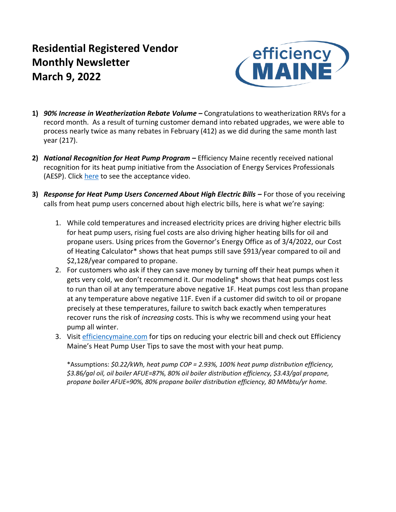# **Residential Registered Vendor Monthly Newsletter March 9, 2022**



- **1)** *90% Increase in Weatherization Rebate Volume –* Congratulations to weatherization RRVs for a record month. As a result of turning customer demand into rebated upgrades, we were able to process nearly twice as many rebates in February (412) as we did during the same month last year (217).
- **2)** *National Recognition for Heat Pump Program –* Efficiency Maine recently received national recognition for its heat pump initiative from the Association of Energy Services Professionals (AESP). Click [here](https://www.youtube.com/watch?v=ZyuKWetfYlE) to see the acceptance video.
- **3)** *Response for Heat Pump Users Concerned About High Electric Bills –* For those of you receiving calls from heat pump users concerned about high electric bills, here is what we're saying:
	- 1. While cold temperatures and increased electricity prices are driving higher electric bills for heat pump users, rising fuel costs are also driving higher heating bills for oil and propane users. Using prices from the Governor's Energy Office as of 3/4/2022, our Cost of Heating Calculator\* shows that heat pumps still save \$913/year compared to oil and \$2,128/year compared to propane.
	- 2. For customers who ask if they can save money by turning off their heat pumps when it gets very cold, we don't recommend it. Our modeling\* shows that heat pumps cost less to run than oil at any temperature above negative 1F. Heat pumps cost less than propane at any temperature above negative 11F. Even if a customer did switch to oil or propane precisely at these temperatures, failure to switch back exactly when temperatures recover runs the risk of *increasing* costs. This is why we recommend using your heat pump all winter.
	- 3. Visit [efficiencymaine.com](http://efficiencymaine.com/) for tips on reducing your electric bill and check out Efficiency Maine's Heat Pump User Tips to save the most with your heat pump.

\*Assumptions: *\$0.22/kWh, heat pump COP = 2.93%, 100% heat pump distribution efficiency, \$3.86/gal oil, oil boiler AFUE=87%, 80% oil boiler distribution efficiency, \$3.43/gal propane, propane boiler AFUE=90%, 80% propane boiler distribution efficiency, 80 MMbtu/yr home.*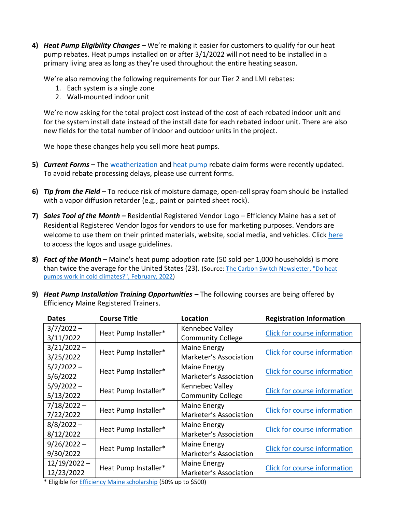**4)** *Heat Pump Eligibility Changes –* We're making it easier for customers to qualify for our heat pump rebates. Heat pumps installed on or after 3/1/2022 will not need to be installed in a primary living area as long as they're used throughout the entire heating season.

We're also removing the following requirements for our Tier 2 and LMI rebates:

- 1. Each system is a single zone
- 2. Wall-mounted indoor unit

We're now asking for the total project cost instead of the cost of each rebated indoor unit and for the system install date instead of the install date for each rebated indoor unit. There are also new fields for the total number of indoor and outdoor units in the project.

We hope these changes help you sell more heat pumps.

- **5)** *Current Forms –* The [weatherization](https://www.efficiencymaine.com/docs/Weatherization-Rebate-Claim-Form.pdf) and [heat pump](https://www.efficiencymaine.com/docs/Residential-Heat-Pump-Rebate-Claim-Form.pdf) rebate claim forms were recently updated. To avoid rebate processing delays, please use current forms.
- **6)** *Tip from the Field* **–** To reduce risk of moisture damage, open-cell spray foam should be installed with a vapor diffusion retarder (e.g., paint or painted sheet rock).
- **7)** *Sales Tool of the Month –* Residential Registered Vendor Logo Efficiency Maine has a set of Residential Registered Vendor logos for vendors to use for marketing purposes. Vendors are welcome to use them on their printed materials, website, social media, and vehicles. Click [here](https://www.efficiencymaine.com/docs/RRV_Logo_Guidelines.pdf) to access the logos and usage guidelines.
- **8)** *Fact of the Month –* Maine's heat pump adoption rate (50 sold per 1,000 households) is more than twice the average for the United States (23). (Source[: The Carbon Switch Newsletter, "Do heat](https://carbonswitch.co/do-heat-pumps-work-in-cold-weather)  [pumps work in cold climates?", February, 2022\)](https://carbonswitch.co/do-heat-pumps-work-in-cold-weather)
- **9)** *Heat Pump Installation Training Opportunities –* The following courses are being offered by Efficiency Maine Registered Trainers.

| <b>Dates</b>   | <b>Course Title</b>  | Location                 | <b>Registration Information</b>     |  |  |
|----------------|----------------------|--------------------------|-------------------------------------|--|--|
| $3/7/2022 -$   | Heat Pump Installer* | Kennebec Valley          | Click for course information        |  |  |
| 3/11/2022      |                      | <b>Community College</b> |                                     |  |  |
| $3/21/2022 -$  | Heat Pump Installer* | Maine Energy             | Click for course information        |  |  |
| 3/25/2022      |                      | Marketer's Association   |                                     |  |  |
| $5/2/2022 -$   | Heat Pump Installer* | <b>Maine Energy</b>      | Click for course information        |  |  |
| 5/6/2022       |                      | Marketer's Association   |                                     |  |  |
| $5/9/2022 -$   | Heat Pump Installer* | Kennebec Valley          | <b>Click for course information</b> |  |  |
| 5/13/2022      |                      | <b>Community College</b> |                                     |  |  |
| $7/18/2022 -$  |                      | Maine Energy             |                                     |  |  |
| 7/22/2022      | Heat Pump Installer* | Marketer's Association   | Click for course information        |  |  |
| $8/8/2022 -$   |                      | <b>Maine Energy</b>      |                                     |  |  |
| 8/12/2022      | Heat Pump Installer* | Marketer's Association   | Click for course information        |  |  |
| $9/26/2022 -$  | Heat Pump Installer* | Maine Energy             | Click for course information        |  |  |
| 9/30/2022      |                      | Marketer's Association   |                                     |  |  |
| $12/19/2022 -$ |                      | Maine Energy             | Click for course information        |  |  |
| 12/23/2022     | Heat Pump Installer* | Marketer's Association   |                                     |  |  |

\* Eligible fo[r Efficiency Maine scholarship](https://www.efficiencymaine.com/docs/RRV-Scholarship-Application.pdf) (50% up to \$500)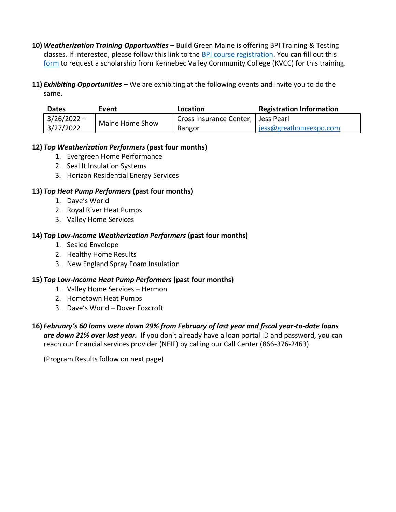- **10)** *Weatherization Training Opportunities –* Build Green Maine is offering BPI Training & Testing classes. If interested, please follow this link to the [BPI course registration.](https://linkprotect.cudasvc.com/url?a=https%3a%2f%2fwww.buildgreenmaine.org%2fbpi-training-course-registration%2f&c=E,1,7Vu-kDkbP6Q1LTPVxRNew1SsKKydKF7tQYlDPgSapMi58kdt7J47xuGEDOxAn1OQ7bp8cpLp3VhJYYOLM3H92MhT6IosyPF0PzD5k2qGPcZCNQ,,&typo=1) You can fill out this [form](https://kvcc.qualtrics.com/jfe/form/SV_5bREoVTtBQShYt8) to request a scholarship from Kennebec Valley Community College (KVCC) for this training.
- **11)** *Exhibiting Opportunities –* We are exhibiting at the following events and invite you to do the same.

| <b>Dates</b>  | Event           | Location                | <b>Registration Information</b> |
|---------------|-----------------|-------------------------|---------------------------------|
| $3/26/2022 -$ | Maine Home Show | Cross Insurance Center, | l Jess Pearl                    |
| 3/27/2022     |                 | <b>Bangor</b>           | jess@greathomeexpo.com          |

## **12)** *Top Weatherization Performers* **(past four months)**

- 1. Evergreen Home Performance
- 2. Seal It Insulation Systems
- 3. Horizon Residential Energy Services

# **13)** *Top Heat Pump Performers* **(past four months)**

- 1. Dave's World
- 2. Royal River Heat Pumps
- 3. Valley Home Services

# **14)** *Top Low-Income Weatherization Performers* **(past four months)**

- 1. Sealed Envelope
- 2. Healthy Home Results
- 3. New England Spray Foam Insulation

# **15)** *Top Low-Income Heat Pump Performers* **(past four months)**

- 1. Valley Home Services Hermon
- 2. Hometown Heat Pumps
- 3. Dave's World Dover Foxcroft
- **16)** *February's 60 loans were down 29% from February of last year and fiscal year-to-date loans are down 21% over last year.* If you don't already have a loan portal ID and password, you can reach our financial services provider (NEIF) by calling our Call Center (866-376-2463).

(Program Results follow on next page)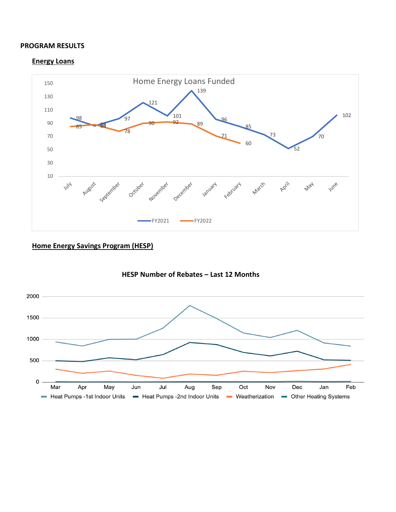#### **PROGRAM RESULTS**

#### **Energy Loans**



# **Home Energy Savings Program (HESP)**



## **HESP Number of Rebates – Last 12 Months**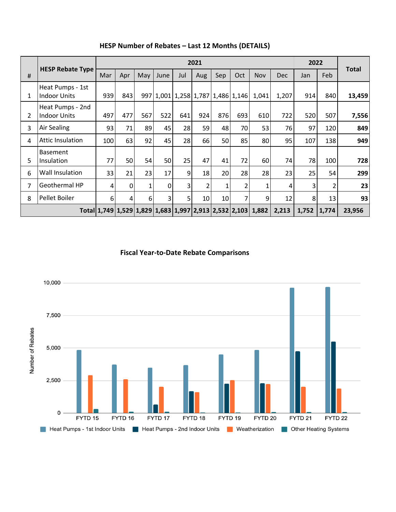|   |                                         | 2021 |     |     |      |                |     |                 |                                   | 2022                                                        |            |       |       |              |
|---|-----------------------------------------|------|-----|-----|------|----------------|-----|-----------------|-----------------------------------|-------------------------------------------------------------|------------|-------|-------|--------------|
| # | <b>HESP Rebate Type</b>                 | Mar  | Apr | May | June | Jul            | Aug | Sep             | Oct                               | <b>Nov</b>                                                  | <b>Dec</b> | Jan   | Feb   | <b>Total</b> |
| 1 | Heat Pumps - 1st<br><b>Indoor Units</b> | 939  | 843 |     |      |                |     |                 | 997 1,001 1,258 1,787 1,486 1,146 | 1,041                                                       | 1,207      | 914   | 840   | 13,459       |
| 2 | Heat Pumps - 2nd<br><b>Indoor Units</b> | 497  | 477 | 567 | 522  | 641            | 924 | 876             | 693                               | 610                                                         | 722        | 520   | 507   | 7,556        |
| 3 | <b>Air Sealing</b>                      | 93   | 71  | 89  | 45   | 28             | 59  | 48              | 70                                | 53                                                          | 76         | 97    | 120   | 849          |
| 4 | Attic Insulation                        | 100  | 63  | 92  | 45   | 28             | 66  | 50              | 85                                | 80                                                          | 95         | 107   | 138   | 949          |
| 5 | <b>Basement</b><br>Insulation           | 77   | 50  | 54  | 50   | 25             | 47  | 41              | 72                                | 60                                                          | 74         | 78    | 100   | 728          |
| 6 | Wall Insulation                         | 33   | 21  | 23  | 17   | 9              | 18  | 20              | 28                                | 28                                                          | 23         | 25    | 54    | 299          |
| 7 | Geothermal HP                           | 4    | 0   | 1   | 0    | 3              | 2   | 1               | 2                                 | 1                                                           | 4          | 3     | 2     | 23           |
| 8 | Pellet Boiler                           | 6    | 4   | 6   | 3    | 5 <sup>1</sup> | 10  | 10 <sub>1</sub> | 7                                 | 9                                                           | 12         | 8     | 13    | 93           |
|   |                                         |      |     |     |      |                |     |                 |                                   | Total 1,749 1,529 1,829 1,683 1,997 2,913 2,532 2,103 1,882 | 2,213      | 1,752 | 1,774 | 23,956       |

## **HESP Number of Rebates – Last 12 Months (DETAILS)**

**Fiscal Year-to-Date Rebate Comparisons**

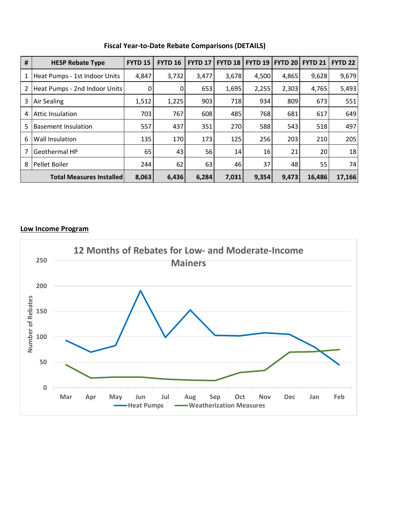| #                                  | <b>HESP Rebate Type</b>         | <b>FYTD 15</b> | <b>FYTD 16</b> | <b>FYTD 17</b> | <b>FYTD 18</b> | <b>FYTD 19</b> | <b>FYTD 201</b> | <b>FYTD 21</b> | <b>FYTD 22</b> |
|------------------------------------|---------------------------------|----------------|----------------|----------------|----------------|----------------|-----------------|----------------|----------------|
| 1                                  | Heat Pumps - 1st Indoor Units   | 4,847          | 3,732          | 3,477          | 3,678          | 4,500          | 4,865           | 9,628          | 9,679          |
| 2<br>Heat Pumps - 2nd Indoor Units |                                 | 0              | $\overline{0}$ | 653            | 1,695          | 2,255          | 2,303           | 4,765          | 5,493          |
| 3                                  | Air Sealing                     | 1,512          | 1,225          | 903            | 718            | 934            | 809             | 673            | 551            |
| 4                                  | Attic Insulation                | 703            | 767            | 608            | 485            | 768            | 681             | 617            | 649            |
| 5                                  | <b>Basement Insulation</b>      | 557            | 437            | 351            | 270            | 588            | 543             | 518            | 497            |
| 6                                  | Wall Insulation                 | 135            | 170            | 173            | 125            | 256            | 203             | 210            | 205            |
| 7                                  | <b>Geothermal HP</b>            | 65             | 43             | 56             | 14             | 16             | 21              | 20             | 18             |
| 8                                  | Pellet Boiler                   | 244            | 62             | 63             | 46             | 37             | 48              | 55             | 74             |
|                                    | <b>Total Measures Installed</b> | 8,063          | 6,436          | 6,284          | 7,031          | 9,354          | 9,473           | 16,486         | 17,166         |

## **Fiscal Year-to-Date Rebate Comparisons (DETAILS)**

### **Low Income Program**

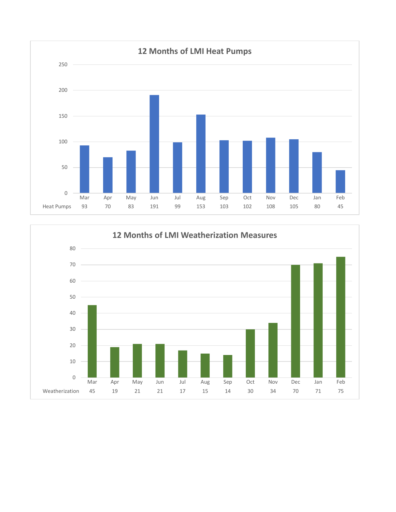